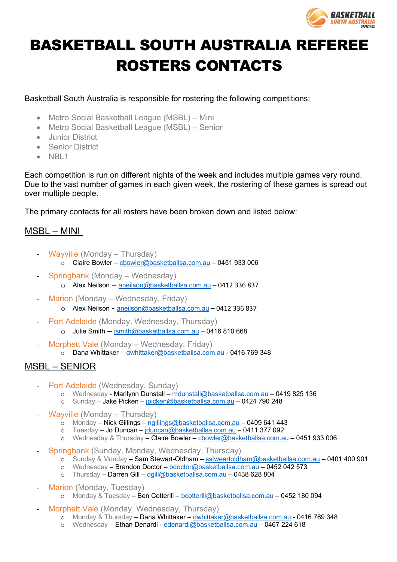

# BASKETBALL SOUTH AUSTRALIA REFEREE ROSTERS CONTACTS

Basketball South Australia is responsible for rostering the following competitions:

- Metro Social Basketball League (MSBL) Mini
- Metro Social Basketball League (MSBL) Senior
- Junior District
- Senior District
- NBL1

Each competition is run on different nights of the week and includes multiple games very round. Due to the vast number of games in each given week, the rostering of these games is spread out over multiple people.

The primary contacts for all rosters have been broken down and listed below:

## MSBL – MINI

- Wayville (Monday Thursday)
	- o Claire Bowler cbowler@basketballsa.com.au 0451 933 006
- Springbank (Monday Wednesday)
	- o Alex Neilson aneilson@basketballsa.com.au 0412 336 837
- Marion (Monday Wednesday, Friday)
	- o Alex Neilson aneilson@basketballsa.com.au 0412 336 837
- Port Adelaide (Monday, Wednesday, Thursday)
	- o Julie Smith jsmith@basketballsa.com.au 0416 810 668
- Morphett Vale (Monday Wednesday, Friday)
	- o Dana Whittaker dwhittaker@basketballsa.com.au 0416 769 348

## MSBL – SENIOR

- Port Adelaide (Wednesday, Sunday)
	- o Wednesday Marilynn Dunstall mdunstall@basketballsa.com.au 0419 825 136
	- o Sunday Jake Picken jpicken@basketballsa.com.au 0424 790 248
- Wayville (Monday Thursday)
	- $\overline{\circ}$  Monday Nick Gillings ngillings@basketballsa.com.au 0409 641 443
	- o Tuesday Jo Duncan jduncan@basketballsa.com.au 0411 377 092
	- o Wednesday & Thursday Claire Bowler cbowler@basketballsa.com.au 0451 933 006
- Springbank (Sunday, Monday, Wednesday, Thursday)
	- o Sunday & Monday Sam Stewart-Oldham sstweartoldham@basketballsa.com.au 0401 400 901
	- o Wednesday Brandon Doctor bdoctor@basketballsa.com.au 0452 042 573
	- o Thursday Darren Gill dgill@basketballsa.com.au 0438 628 804
- Marion (Monday, Tuesday)
	- o Monday & Tuesday Ben Cotterill bcotterill@basketballsa.com.au 0452 180 094
	- Morphett Vale (Monday, Wednesday, Thursday)
		- $\overline{\circ}$  Monday & Thursday Dana Whittaker dwhittaker@basketballsa.com.au 0416 769 348
		- o Wednesday Ethan Denardi edenardi@basketballsa.com.au 0467 224 618